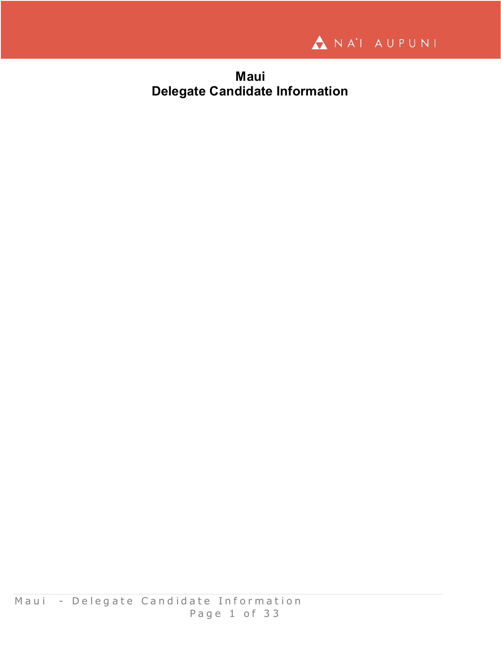

**Maui Delegate Candidate Information**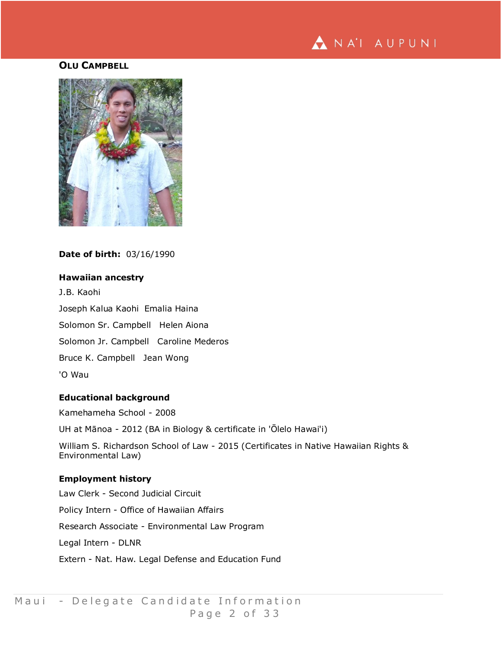

# **OLU CAMPBELL**



**Date of birth:** 03/16/1990

## **Hawaiian ancestry**

J.B. Kaohi Joseph Kalua Kaohi Emalia Haina Solomon Sr. Campbell Helen Aiona Solomon Jr. Campbell Caroline Mederos Bruce K. Campbell Jean Wong 'O Wau

## **Educational background**

Kamehameha School - 2008 UH at Mānoa - 2012 (BA in Biology & certificate in 'Ōlelo Hawai'i) William S. Richardson School of Law - 2015 (Certificates in Native Hawaiian Rights & Environmental Law) **Employment history** Law Clerk - Second Judicial Circuit

# Policy Intern - Office of Hawaiian Affairs

Research Associate - Environmental Law Program

Legal Intern - DLNR

Extern - Nat. Haw. Legal Defense and Education Fund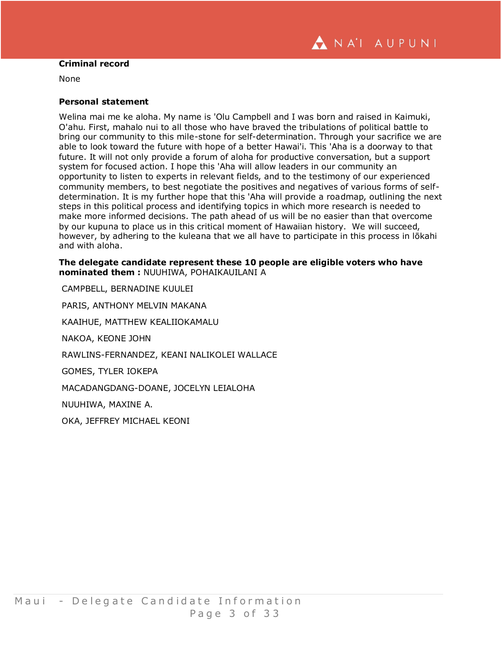

### **Criminal record**

None

#### **Personal statement**

Welina mai me ke aloha. My name is 'Olu Campbell and I was born and raised in Kaimuki, O'ahu. First, mahalo nui to all those who have braved the tribulations of political battle to bring our community to this mile-stone for self-determination. Through your sacrifice we are able to look toward the future with hope of a better Hawai'i. This 'Aha is a doorway to that future. It will not only provide a forum of aloha for productive conversation, but a support system for focused action. I hope this 'Aha will allow leaders in our community an opportunity to listen to experts in relevant fields, and to the testimony of our experienced community members, to best negotiate the positives and negatives of various forms of selfdetermination. It is my further hope that this 'Aha will provide a roadmap, outlining the next steps in this political process and identifying topics in which more research is needed to make more informed decisions. The path ahead of us will be no easier than that overcome by our kupuna to place us in this critical moment of Hawaiian history. We will succeed, however, by adhering to the kuleana that we all have to participate in this process in lōkahi and with aloha.

**The delegate candidate represent these 10 people are eligible voters who have nominated them :** NUUHIWA, POHAIKAUILANI A

CAMPBELL, BERNADINE KUULEI PARIS, ANTHONY MELVIN MAKANA KAAIHUE, MATTHEW KEALIIOKAMALU NAKOA, KEONE JOHN RAWLINS-FERNANDEZ, KEANI NALIKOLEI WALLACE GOMES, TYLER IOKEPA MACADANGDANG-DOANE, JOCELYN LEIALOHA NUUHIWA, MAXINE A. OKA, JEFFREY MICHAEL KEONI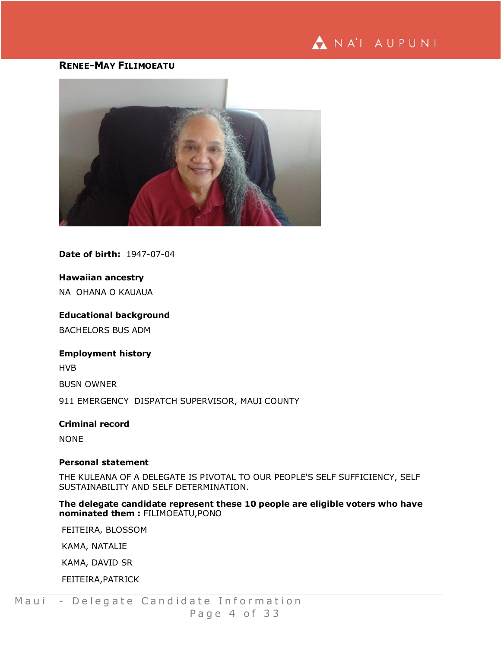# ANA'I AUPUNI

# **RENEE-MAY FILIMOEATU**



**Date of birth:** 1947-07-04

## **Hawaiian ancestry**

NA OHANA O KAUAUA

#### **Educational background**

BACHELORS BUS ADM

## **Employment history**

HVB

BUSN OWNER

911 EMERGENCY DISPATCH SUPERVISOR, MAUI COUNTY

# **Criminal record** NONE

#### **Personal statement**

THE KULEANA OF A DELEGATE IS PIVOTAL TO OUR PEOPLE'S SELF SUFFICIENCY, SELF SUSTAINABILITY AND SELF DETERMINATION.

## **The delegate candidate represent these 10 people are eligible voters who have nominated them :** FILIMOEATU,PONO

FEITEIRA, BLOSSOM

KAMA, NATALIE

KAMA, DAVID SR

FEITEIRA,PATRICK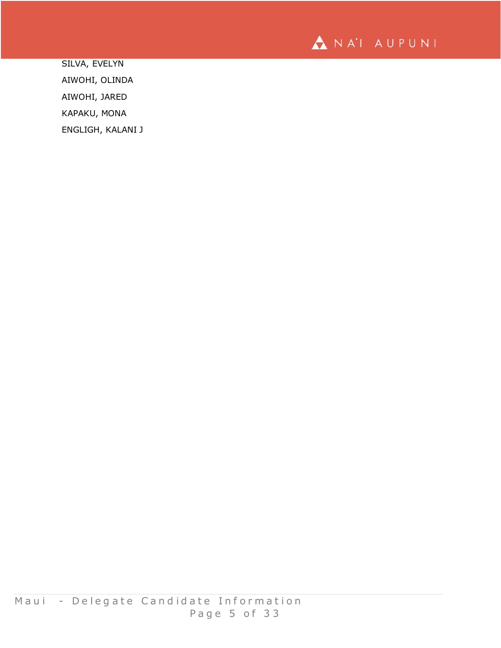

SILVA, EVELYN AIWOHI, OLINDA AIWOHI, JARED KAPAKU, MONA ENGLIGH, KALANI J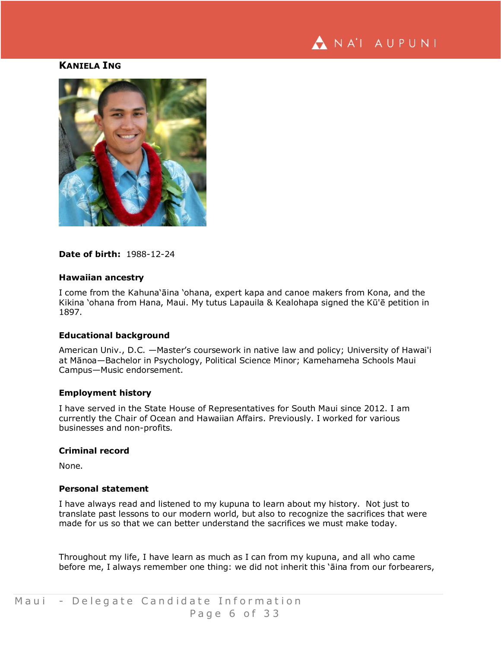

# **KANIELA ING**



**Date of birth:** 1988-12-24

#### **Hawaiian ancestry**

I come from the Kahuna'āina 'ohana, expert kapa and canoe makers from Kona, and the Kikina 'ohana from Hana, Maui. My tutus Lapauila & Kealohapa signed the Kū'ē petition in 1897.

#### **Educational background**

American Univ., D.C. —Master's coursework in native law and policy; University of Hawai'i at Mānoa—Bachelor in Psychology, Political Science Minor; Kamehameha Schools Maui Campus—Music endorsement.

#### **Employment history**

I have served in the State House of Representatives for South Maui since 2012. I am currently the Chair of Ocean and Hawaiian Affairs. Previously. I worked for various businesses and non-profits.

#### **Criminal record**

None.

## **Personal statement**

I have always read and listened to my kupuna to learn about my history. Not just to translate past lessons to our modern world, but also to recognize the sacrifices that were made for us so that we can better understand the sacrifices we must make today.

Throughout my life, I have learn as much as I can from my kupuna, and all who came before me, I always remember one thing: we did not inherit this 'āina from our forbearers,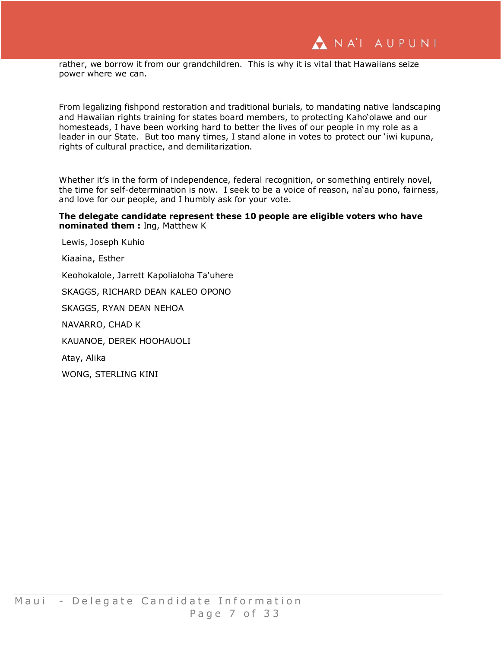rather, we borrow it from our grandchildren. This is why it is vital that Hawaiians seize power where we can.

From legalizing fishpond restoration and traditional burials, to mandating native landscaping and Hawaiian rights training for states board members, to protecting Kaho'olawe and our homesteads, I have been working hard to better the lives of our people in my role as a leader in our State. But too many times, I stand alone in votes to protect our 'iwi kupuna, rights of cultural practice, and demilitarization.

Whether it's in the form of independence, federal recognition, or something entirely novel, the time for self-determination is now. I seek to be a voice of reason, na'au pono, fairness, and love for our people, and I humbly ask for your vote.

## **The delegate candidate represent these 10 people are eligible voters who have nominated them :** Ing, Matthew K

Lewis, Joseph Kuhio Kiaaina, Esther Keohokalole, Jarrett Kapolialoha Ta'uhere SKAGGS, RICHARD DEAN KALEO OPONO SKAGGS, RYAN DEAN NEHOA NAVARRO, CHAD K KAUANOE, DEREK HOOHAUOLI Atay, Alika WONG, STERLING KINI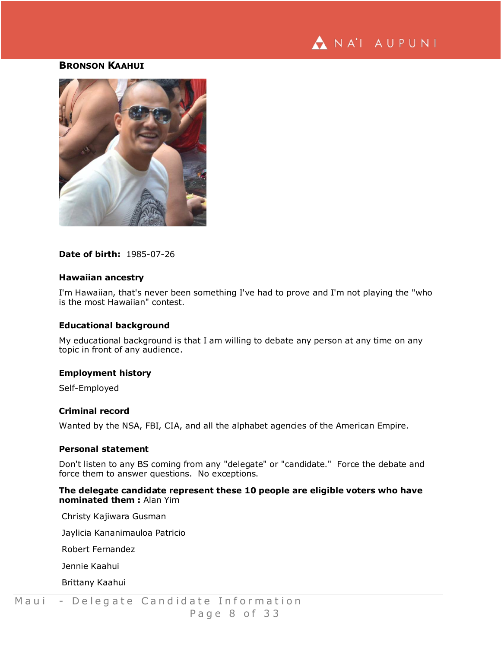

# **BRONSON KAAHUI**



**Date of birth:** 1985-07-26

#### **Hawaiian ancestry**

I'm Hawaiian, that's never been something I've had to prove and I'm not playing the "who is the most Hawaiian" contest.

#### **Educational background**

My educational background is that I am willing to debate any person at any time on any topic in front of any audience.

#### **Employment history**

Self-Employed

## **Criminal record**

Wanted by the NSA, FBI, CIA, and all the alphabet agencies of the American Empire.

#### **Personal statement**

Don't listen to any BS coming from any "delegate" or "candidate." Force the debate and force them to answer questions. No exceptions.

## **The delegate candidate represent these 10 people are eligible voters who have nominated them :** Alan Yim

Christy Kajiwara Gusman

Jaylicia Kananimauloa Patricio

Robert Fernandez

Jennie Kaahui

Brittany Kaahui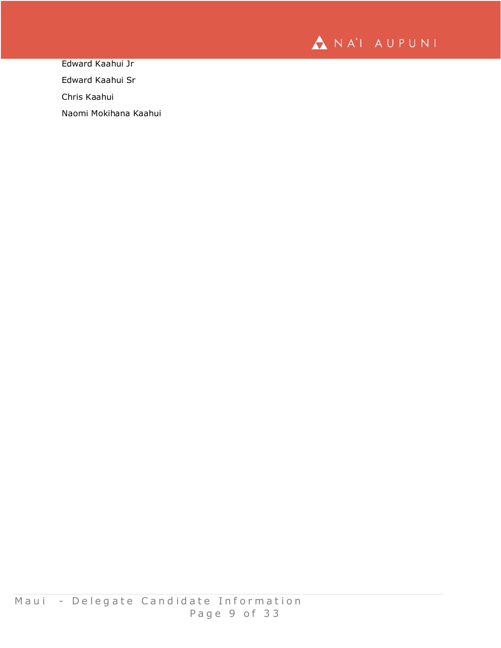

Edward Kaahui Jr

Edward Kaahui Sr

Chris Kaahui

Naomi Mokihana Kaahui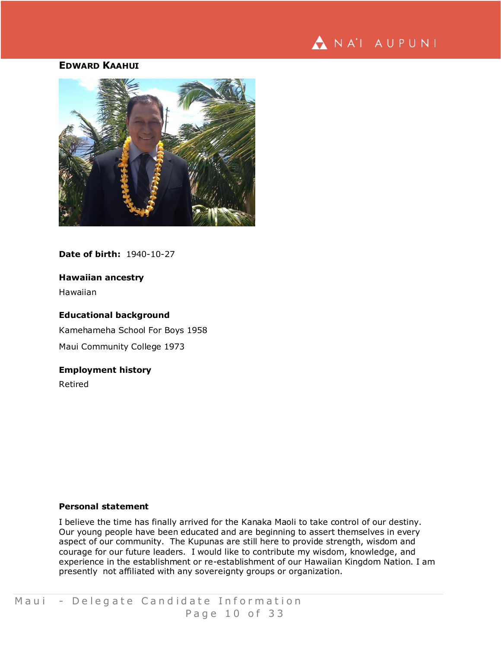# NA'I AUPUNI

## **EDWARD KAAHUI**



**Date of birth:** 1940-10-27

## **Hawaiian ancestry**

Hawaiian

## **Educational background**

Kamehameha School For Boys 1958 Maui Community College 1973

## **Employment history**

Retired

#### **Personal statement**

I believe the time has finally arrived for the Kanaka Maoli to take control of our destiny. Our young people have been educated and are beginning to assert themselves in every aspect of our community. The Kupunas are still here to provide strength, wisdom and courage for our future leaders. I would like to contribute my wisdom, knowledge, and experience in the establishment or re-establishment of our Hawaiian Kingdom Nation. I am presently not affiliated with any sovereignty groups or organization.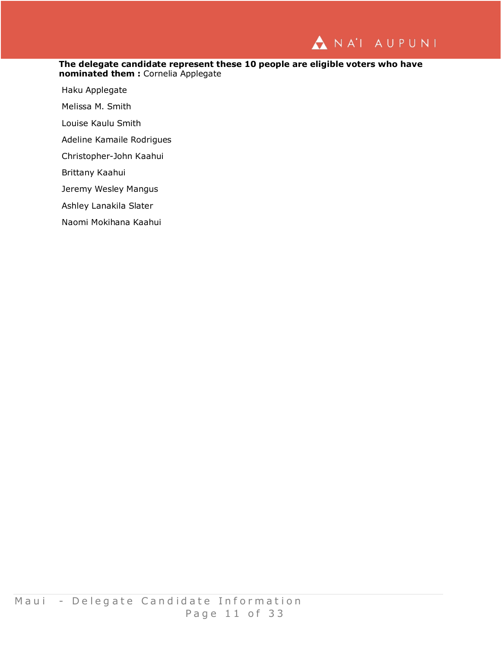

#### **The delegate candidate represent these 10 people are eligible voters who have nominated them :** Cornelia Applegate

Haku Applegate

Melissa M. Smith

Louise Kaulu Smith

Adeline Kamaile Rodrigues

Christopher-John Kaahui

Brittany Kaahui

Jeremy Wesley Mangus

Ashley Lanakila Slater

Naomi Mokihana Kaahui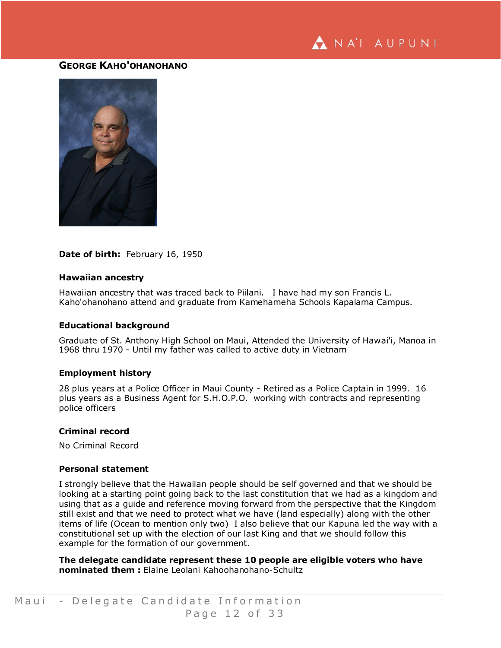

# **GEORGE KAHO'OHANOHANO**



#### **Date of birth:** February 16, 1950

#### **Hawaiian ancestry**

Hawaiian ancestry that was traced back to Piilani. I have had my son Francis L. Kaho'ohanohano attend and graduate from Kamehameha Schools Kapalama Campus.

#### **Educational background**

Graduate of St. Anthony High School on Maui, Attended the University of Hawai'i, Manoa in 1968 thru 1970 - Until my father was called to active duty in Vietnam

#### **Employment history**

28 plus years at a Police Officer in Maui County - Retired as a Police Captain in 1999. 16 plus years as a Business Agent for S.H.O.P.O. working with contracts and representing police officers

#### **Criminal record**

No Criminal Record

#### **Personal statement**

I strongly believe that the Hawaiian people should be self governed and that we should be looking at a starting point going back to the last constitution that we had as a kingdom and using that as a guide and reference moving forward from the perspective that the Kingdom still exist and that we need to protect what we have (land especially) along with the other items of life (Ocean to mention only two) I also believe that our Kapuna led the way with a constitutional set up with the election of our last King and that we should follow this example for the formation of our government.

**The delegate candidate represent these 10 people are eligible voters who have nominated them :** Elaine Leolani Kahoohanohano-Schultz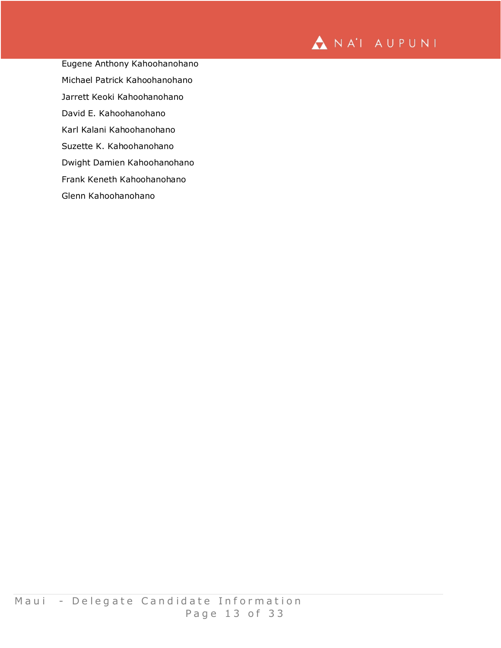

Eugene Anthony Kahoohanohano Michael Patrick Kahoohanohano Jarrett Keoki Kahoohanohano David E. Kahoohanohano Karl Kalani Kahoohanohano Suzette K. Kahoohanohano Dwight Damien Kahoohanohano

Frank Keneth Kahoohanohano

Glenn Kahoohanohano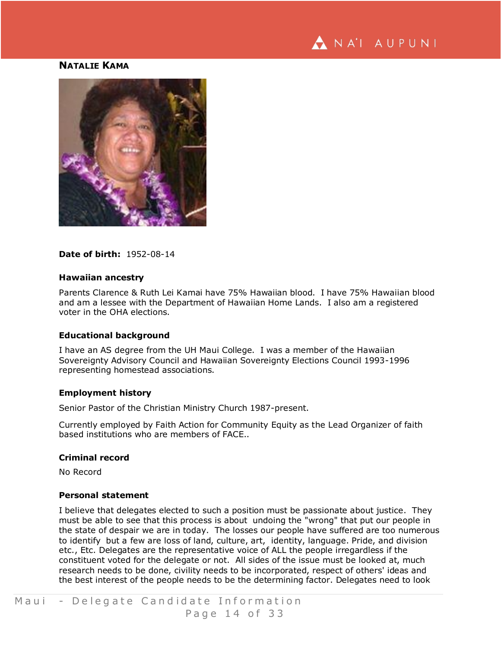

# **NATALIE KAMA**



#### **Date of birth:** 1952-08-14

#### **Hawaiian ancestry**

Parents Clarence & Ruth Lei Kamai have 75% Hawaiian blood. I have 75% Hawaiian blood and am a lessee with the Department of Hawaiian Home Lands. I also am a registered voter in the OHA elections.

#### **Educational background**

I have an AS degree from the UH Maui College. I was a member of the Hawaiian Sovereignty Advisory Council and Hawaiian Sovereignty Elections Council 1993-1996 representing homestead associations.

#### **Employment history**

Senior Pastor of the Christian Ministry Church 1987-present.

Currently employed by Faith Action for Community Equity as the Lead Organizer of faith based institutions who are members of FACE..

#### **Criminal record**

No Record

#### **Personal statement**

I believe that delegates elected to such a position must be passionate about justice. They must be able to see that this process is about undoing the "wrong" that put our people in the state of despair we are in today. The losses our people have suffered are too numerous to identify but a few are loss of land, culture, art, identity, language. Pride, and division etc., Etc. Delegates are the representative voice of ALL the people irregardless if the constituent voted for the delegate or not. All sides of the issue must be looked at, much research needs to be done, civility needs to be incorporated, respect of others' ideas and the best interest of the people needs to be the determining factor. Delegates need to look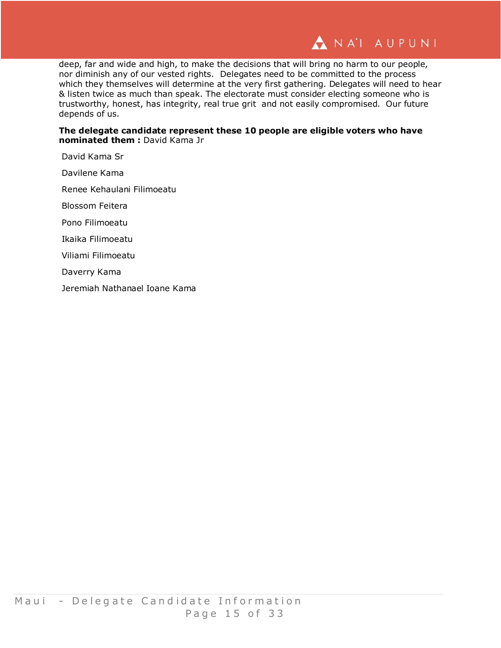

deep, far and wide and high, to make the decisions that will bring no harm to our people, nor diminish any of our vested rights. Delegates need to be committed to the process which they themselves will determine at the very first gathering. Delegates will need to hear & listen twice as much than speak. The electorate must consider electing someone who is trustworthy, honest, has integrity, real true grit and not easily compromised. Our future depends of us.

**The delegate candidate represent these 10 people are eligible voters who have nominated them :** David Kama Jr

David Kama Sr

Davilene Kama

Renee Kehaulani Filimoeatu

Blossom Feitera

Pono Filimoeatu

Ikaika Filimoeatu

Viliami Filimoeatu

Daverry Kama

Jeremiah Nathanael Ioane Kama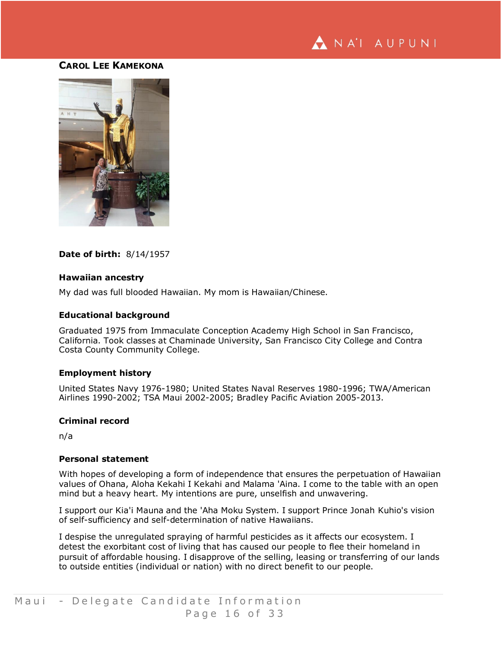

## **CAROL LEE KAMEKONA**



## **Date of birth:** 8/14/1957

#### **Hawaiian ancestry**

My dad was full blooded Hawaiian. My mom is Hawaiian/Chinese.

#### **Educational background**

Graduated 1975 from Immaculate Conception Academy High School in San Francisco, California. Took classes at Chaminade University, San Francisco City College and Contra Costa County Community College.

#### **Employment history**

United States Navy 1976-1980; United States Naval Reserves 1980-1996; TWA/American Airlines 1990-2002; TSA Maui 2002-2005; Bradley Pacific Aviation 2005-2013.

#### **Criminal record**

n/a

#### **Personal statement**

With hopes of developing a form of independence that ensures the perpetuation of Hawaiian values of Ohana, Aloha Kekahi I Kekahi and Malama 'Aina. I come to the table with an open mind but a heavy heart. My intentions are pure, unselfish and unwavering.

I support our Kia'i Mauna and the 'Aha Moku System. I support Prince Jonah Kuhio's vision of self-sufficiency and self-determination of native Hawaiians.

I despise the unregulated spraying of harmful pesticides as it affects our ecosystem. I detest the exorbitant cost of living that has caused our people to flee their homeland in pursuit of affordable housing. I disapprove of the selling, leasing or transferring of our lands to outside entities (individual or nation) with no direct benefit to our people.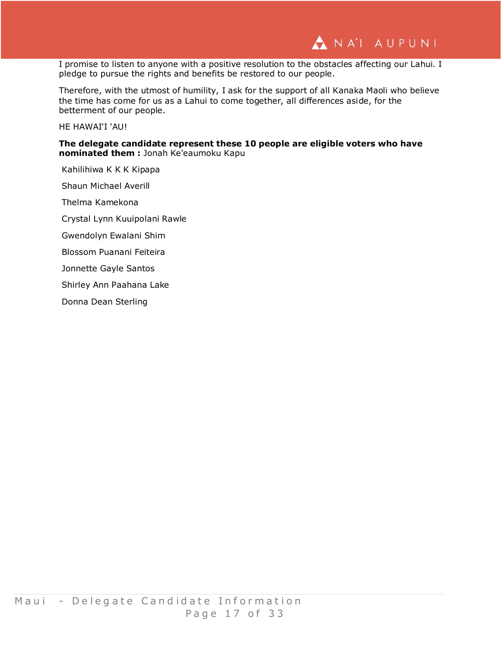

I promise to listen to anyone with a positive resolution to the obstacles affecting our Lahui. I pledge to pursue the rights and benefits be restored to our people.

Therefore, with the utmost of humility, I ask for the support of all Kanaka Maoli who believe the time has come for us as a Lahui to come together, all differences aside, for the betterment of our people.

HE HAWAI'I 'AU!

**The delegate candidate represent these 10 people are eligible voters who have nominated them :** Jonah Ke'eaumoku Kapu

Kahilihiwa K K K Kipapa Shaun Michael Averill

Thelma Kamekona

Crystal Lynn Kuuipolani Rawle

Gwendolyn Ewalani Shim

Blossom Puanani Feiteira

Jonnette Gayle Santos

Shirley Ann Paahana Lake

Donna Dean Sterling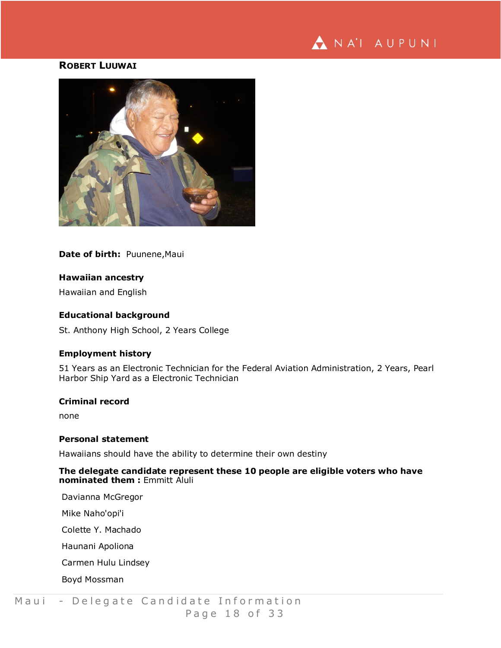

## **ROBERT LUUWAI**



**Date of birth:** Puunene,Maui

## **Hawaiian ancestry**

Hawaiian and English

## **Educational background**

St. Anthony High School, 2 Years College

## **Employment history**

51 Years as an Electronic Technician for the Federal Aviation Administration, 2 Years, Pearl Harbor Ship Yard as a Electronic Technician

## **Criminal record**

none

#### **Personal statement**

Hawaiians should have the ability to determine their own destiny

## **The delegate candidate represent these 10 people are eligible voters who have nominated them :** Emmitt Aluli

Davianna McGregor

Mike Naho'opi'i

Colette Y. Machado

Haunani Apoliona

Carmen Hulu Lindsey

Boyd Mossman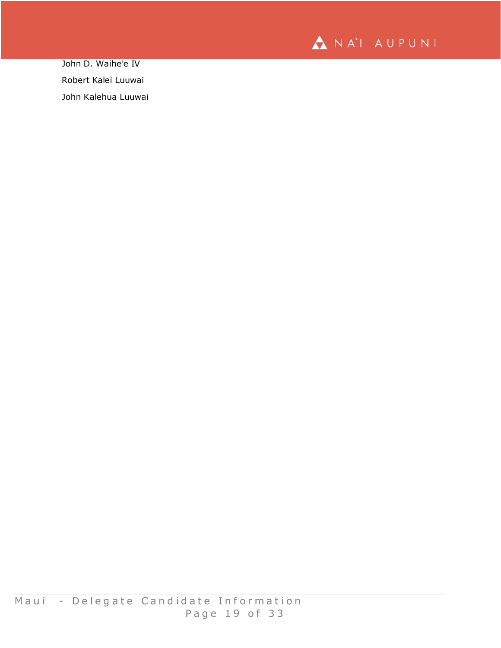

John D. Waiheʻe IV Robert Kalei Luuwai John Kalehua Luuwai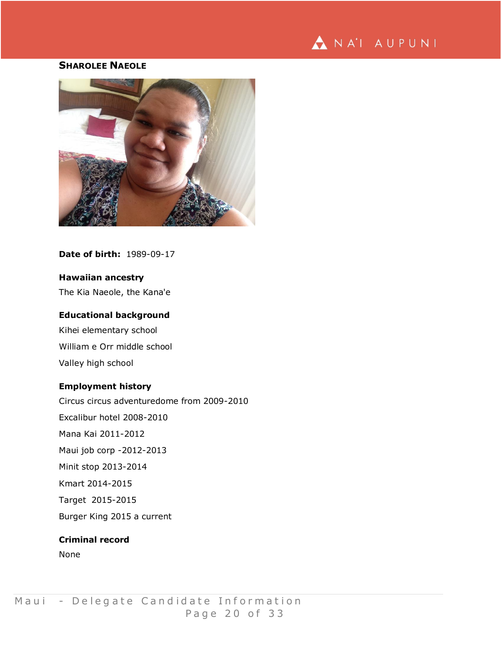# NA'I AUPUNI

# **SHAROLEE NAEOLE**



**Date of birth:** 1989-09-17

## **Hawaiian ancestry**

The Kia Naeole, the Kana'e

## **Educational background**

Kihei elementary school William e Orr middle school Valley high school

## **Employment history**

Circus circus adventuredome from 2009-2010 Excalibur hotel 2008-2010 Mana Kai 2011-2012 Maui job corp -2012-2013 Minit stop 2013-2014 Kmart 2014-2015 Target 2015-2015 Burger King 2015 a current

## **Criminal record**

None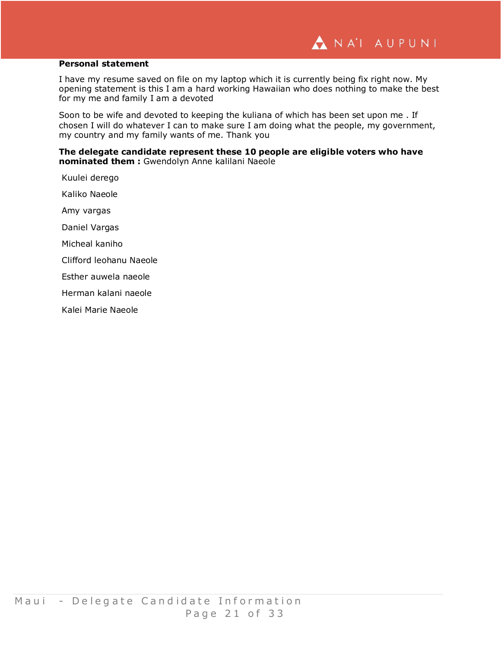#### **Personal statement**

I have my resume saved on file on my laptop which it is currently being fix right now. My opening statement is this I am a hard working Hawaiian who does nothing to make the best for my me and family I am a devoted

Soon to be wife and devoted to keeping the kuliana of which has been set upon me . If chosen I will do whatever I can to make sure I am doing what the people, my government, my country and my family wants of me. Thank you

**The delegate candidate represent these 10 people are eligible voters who have nominated them :** Gwendolyn Anne kalilani Naeole

Kuulei derego Kaliko Naeole Amy vargas Daniel Vargas Micheal kaniho Clifford leohanu Naeole Esther auwela naeole Herman kalani naeole Kalei Marie Naeole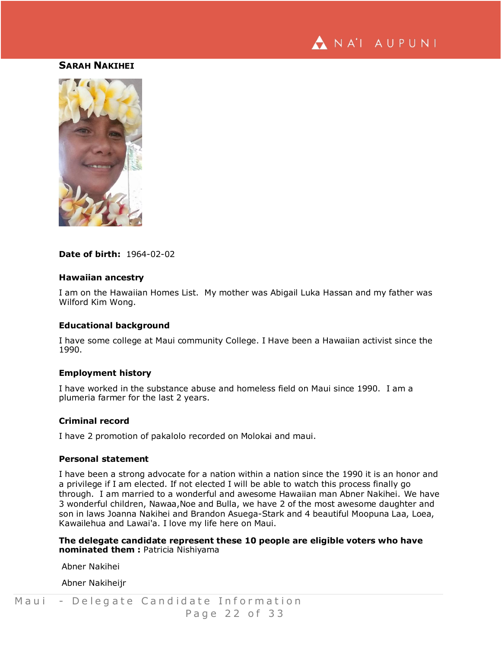

## **SARAH NAKIHEI**



**Date of birth:** 1964-02-02

#### **Hawaiian ancestry**

I am on the Hawaiian Homes List. My mother was Abigail Luka Hassan and my father was Wilford Kim Wong.

#### **Educational background**

I have some college at Maui community College. I Have been a Hawaiian activist since the 1990.

## **Employment history**

I have worked in the substance abuse and homeless field on Maui since 1990. I am a plumeria farmer for the last 2 years.

#### **Criminal record**

I have 2 promotion of pakalolo recorded on Molokai and maui.

#### **Personal statement**

I have been a strong advocate for a nation within a nation since the 1990 it is an honor and a privilege if I am elected. If not elected I will be able to watch this process finally go through. I am married to a wonderful and awesome Hawaiian man Abner Nakihei. We have 3 wonderful children, Nawaa,Noe and Bulla, we have 2 of the most awesome daughter and son in laws Joanna Nakihei and Brandon Asuega-Stark and 4 beautiful Moopuna Laa, Loea, Kawailehua and Lawai'a. I love my life here on Maui.

**The delegate candidate represent these 10 people are eligible voters who have nominated them :** Patricia Nishiyama

Abner Nakihei

Abner Nakiheijr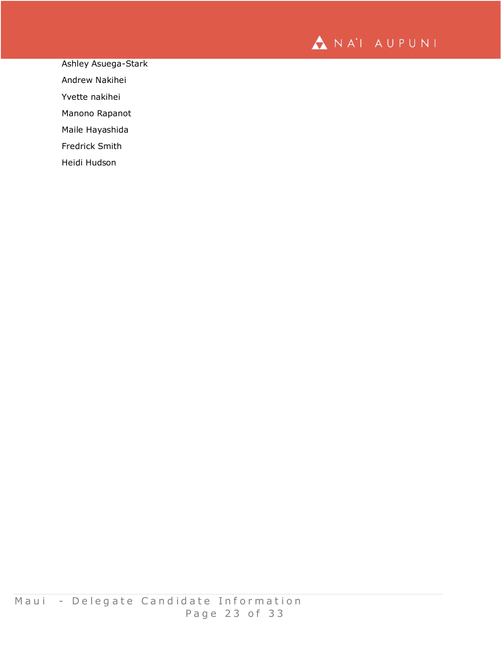

Ashley Asuega-Stark

Andrew Nakihei

Yvette nakihei

Manono Rapanot

Maile Hayashida

Fredrick Smith

Heidi Hudson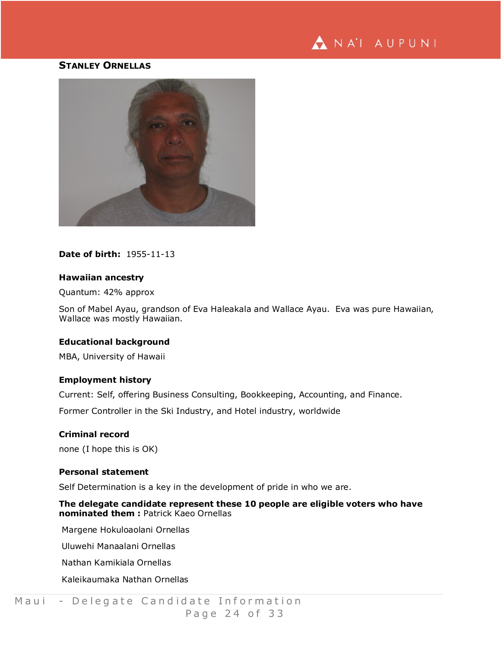

### **STANLEY ORNELLAS**



## **Date of birth:** 1955-11-13

#### **Hawaiian ancestry**

## Quantum: 42% approx

Son of Mabel Ayau, grandson of Eva Haleakala and Wallace Ayau. Eva was pure Hawaiian, Wallace was mostly Hawaiian.

## **Educational background**

MBA, University of Hawaii

#### **Employment history**

Current: Self, offering Business Consulting, Bookkeeping, Accounting, and Finance.

Former Controller in the Ski Industry, and Hotel industry, worldwide

#### **Criminal record**

none (I hope this is OK)

#### **Personal statement**

Self Determination is a key in the development of pride in who we are.

**The delegate candidate represent these 10 people are eligible voters who have nominated them :** Patrick Kaeo Ornellas

Margene Hokuloaolani Ornellas

Uluwehi Manaalani Ornellas

Nathan Kamikiala Ornellas

Kaleikaumaka Nathan Ornellas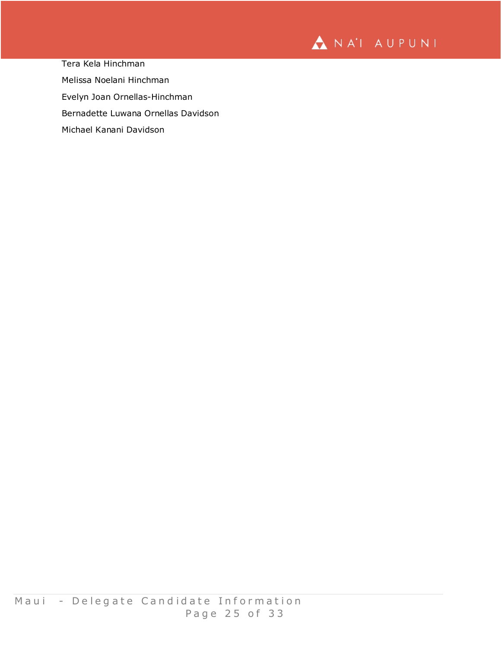

Tera Kela Hinchman Melissa Noelani Hinchman Evelyn Joan Ornellas-Hinchman Bernadette Luwana Ornellas Davidson Michael Kanani Davidson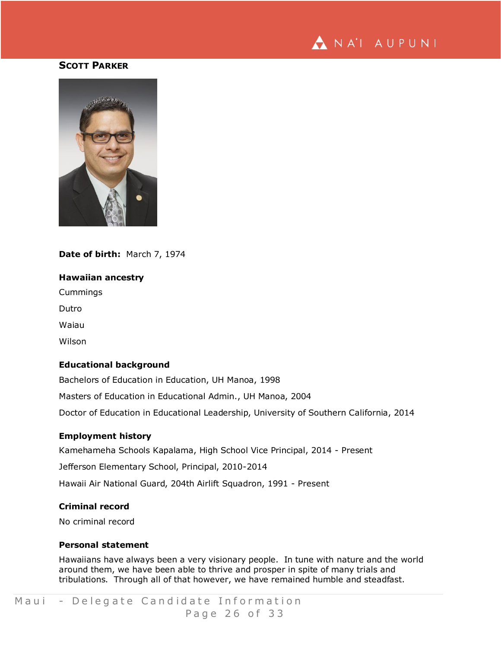

## **SCOTT PARKER**



## **Date of birth:** March 7, 1974

#### **Hawaiian ancestry**

Cummings

Dutro

Waiau

Wilson

## **Educational background**

Bachelors of Education in Education, UH Manoa, 1998 Masters of Education in Educational Admin., UH Manoa, 2004 Doctor of Education in Educational Leadership, University of Southern California, 2014

#### **Employment history**

Kamehameha Schools Kapalama, High School Vice Principal, 2014 - Present

Jefferson Elementary School, Principal, 2010-2014

Hawaii Air National Guard, 204th Airlift Squadron, 1991 - Present

## **Criminal record**

No criminal record

#### **Personal statement**

Hawaiians have always been a very visionary people. In tune with nature and the world around them, we have been able to thrive and prosper in spite of many trials and tribulations. Through all of that however, we have remained humble and steadfast.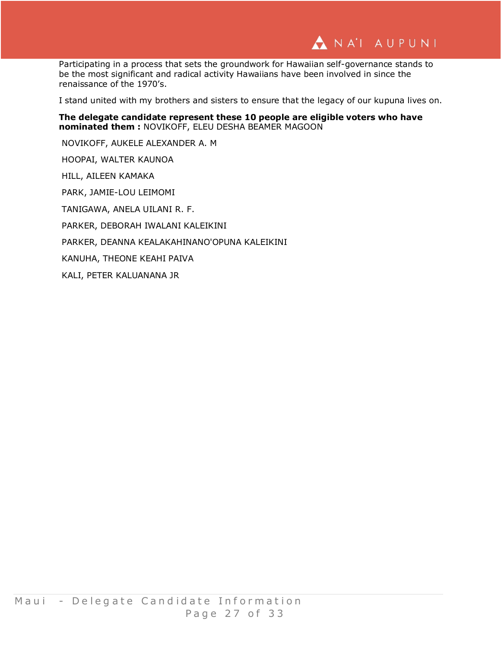

Participating in a process that sets the groundwork for Hawaiian self-governance stands to be the most significant and radical activity Hawaiians have been involved in since the renaissance of the 1970's.

I stand united with my brothers and sisters to ensure that the legacy of our kupuna lives on.

**The delegate candidate represent these 10 people are eligible voters who have nominated them :** NOVIKOFF, ELEU DESHA BEAMER MAGOON

NOVIKOFF, AUKELE ALEXANDER A. M

HOOPAI, WALTER KAUNOA

HILL, AILEEN KAMAKA

PARK, JAMIE-LOU LEIMOMI

TANIGAWA, ANELA UILANI R. F.

PARKER, DEBORAH IWALANI KALEIKINI

PARKER, DEANNA KEALAKAHINANO'OPUNA KALEIKINI

KANUHA, THEONE KEAHI PAIVA

KALI, PETER KALUANANA JR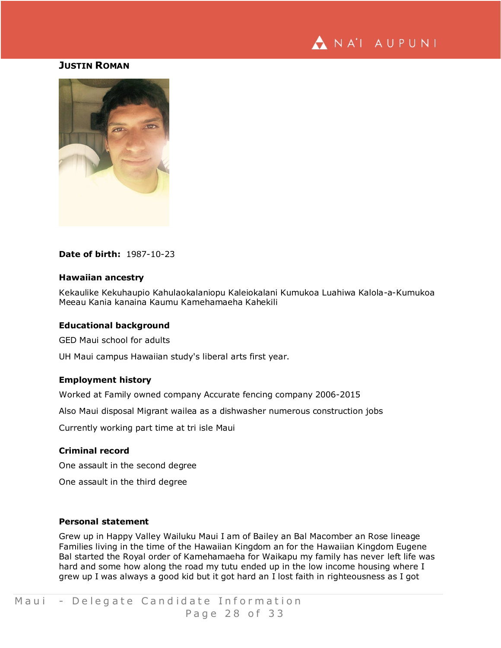

## **JUSTIN ROMAN**



## **Date of birth:** 1987-10-23

#### **Hawaiian ancestry**

Kekaulike Kekuhaupio Kahulaokalaniopu Kaleiokalani Kumukoa Luahiwa Kalola-a-Kumukoa Meeau Kania kanaina Kaumu Kamehamaeha Kahekili

#### **Educational background**

GED Maui school for adults

UH Maui campus Hawaiian study's liberal arts first year.

## **Employment history**

Worked at Family owned company Accurate fencing company 2006-2015

Also Maui disposal Migrant wailea as a dishwasher numerous construction jobs

Currently working part time at tri isle Maui

## **Criminal record**

One assault in the second degree

One assault in the third degree

## **Personal statement**

Grew up in Happy Valley Wailuku Maui I am of Bailey an Bal Macomber an Rose lineage Families living in the time of the Hawaiian Kingdom an for the Hawaiian Kingdom Eugene Bal started the Royal order of Kamehamaeha for Waikapu my family has never left life was hard and some how along the road my tutu ended up in the low income housing where I grew up I was always a good kid but it got hard an I lost faith in righteousness as I got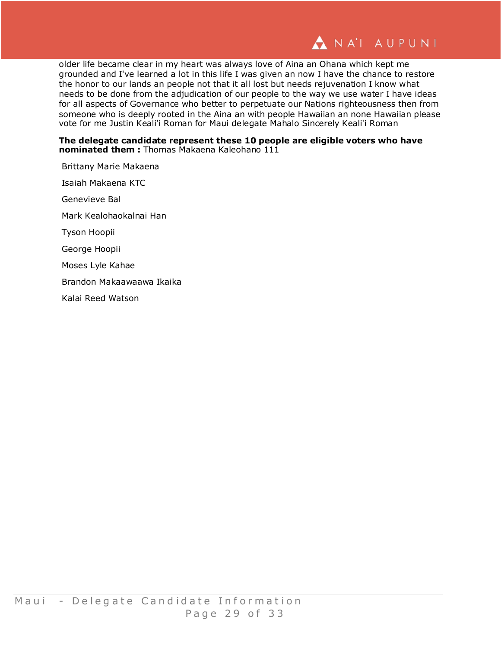

older life became clear in my heart was always love of Aina an Ohana which kept me grounded and I've learned a lot in this life I was given an now I have the chance to restore the honor to our lands an people not that it all lost but needs rejuvenation I know what needs to be done from the adjudication of our people to the way we use water I have ideas for all aspects of Governance who better to perpetuate our Nations righteousness then from someone who is deeply rooted in the Aina an with people Hawaiian an none Hawaiian please vote for me Justin Keali'i Roman for Maui delegate Mahalo Sincerely Keali'i Roman

### **The delegate candidate represent these 10 people are eligible voters who have nominated them :** Thomas Makaena Kaleohano 111

Brittany Marie Makaena Isaiah Makaena KTC Genevieve Bal Mark Kealohaokalnai Han Tyson Hoopii George Hoopii Moses Lyle Kahae Brandon Makaawaawa Ikaika Kalai Reed Watson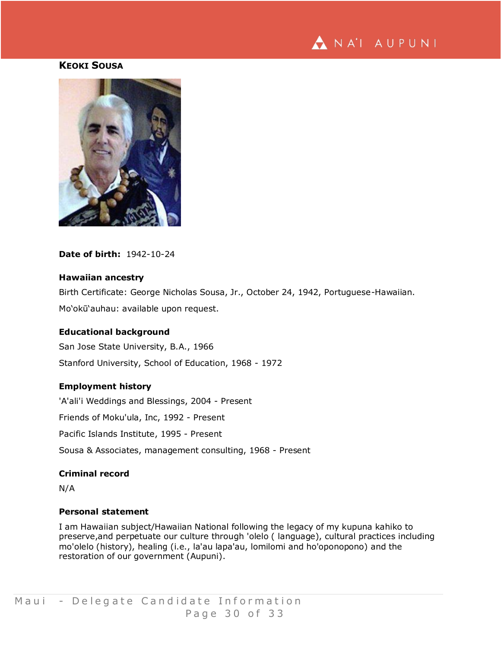

## **KEOKI SOUSA**



**Date of birth:** 1942-10-24

#### **Hawaiian ancestry**

Birth Certificate: George Nicholas Sousa, Jr., October 24, 1942, Portuguese-Hawaiian. Mo'okū'auhau: available upon request.

#### **Educational background**

San Jose State University, B.A., 1966 Stanford University, School of Education, 1968 - 1972

## **Employment history**

'A'ali'i Weddings and Blessings, 2004 - Present Friends of Moku'ula, Inc, 1992 - Present Pacific Islands Institute, 1995 - Present Sousa & Associates, management consulting, 1968 - Present

## **Criminal record**

N/A

#### **Personal statement**

I am Hawaiian subject/Hawaiian National following the legacy of my kupuna kahiko to preserve,and perpetuate our culture through 'olelo ( language), cultural practices including mo'olelo (history), healing (i.e., la'au lapa'au, lomilomi and ho'oponopono) and the restoration of our government (Aupuni).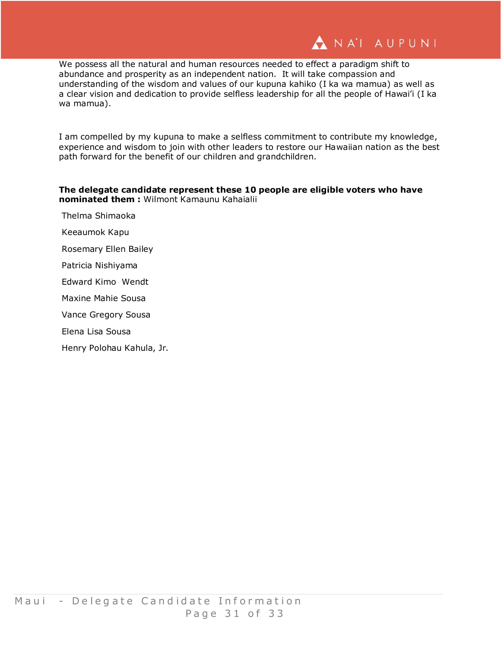We possess all the natural and human resources needed to effect a paradigm shift to abundance and prosperity as an independent nation. It will take compassion and understanding of the wisdom and values of our kupuna kahiko (I ka wa mamua) as well as a clear vision and dedication to provide selfless leadership for all the people of Hawai'i (I ka wa mamua).

I am compelled by my kupuna to make a selfless commitment to contribute my knowledge, experience and wisdom to join with other leaders to restore our Hawaiian nation as the best path forward for the benefit of our children and grandchildren.

## **The delegate candidate represent these 10 people are eligible voters who have nominated them :** Wilmont Kamaunu Kahaialii

- Thelma Shimaoka
- Keeaumok Kapu
- Rosemary Ellen Bailey
- Patricia Nishiyama
- Edward Kimo Wendt
- Maxine Mahie Sousa
- Vance Gregory Sousa
- Elena Lisa Sousa
- Henry Polohau Kahula, Jr.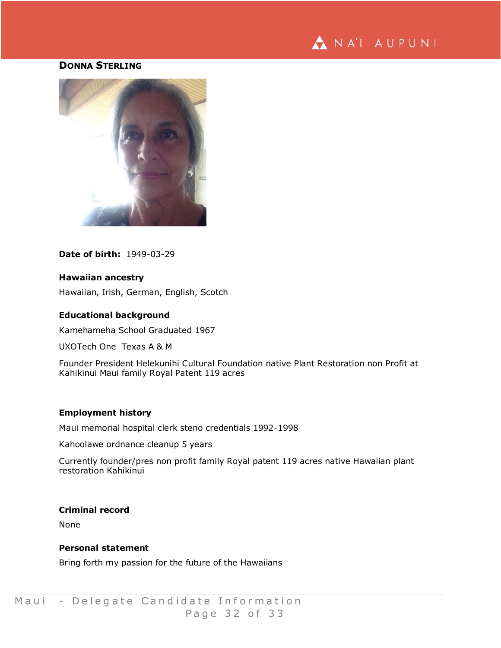

# **DONNA STERLING**



**Date of birth:** 1949-03-29

## **Hawaiian ancestry**

Hawaiian, Irish, German, English, Scotch

## **Educational background**

Kamehameha School Graduated 1967

UXOTech One Texas A & M

Founder President Helekunihi Cultural Foundation native Plant Restoration non Profit at Kahikinui Maui family Royal Patent 119 acres

#### **Employment history**

Maui memorial hospital clerk steno credentials 1992-1998

Kahoolawe ordnance cleanup 5 years

Currently founder/pres non profit family Royal patent 119 acres native Hawaiian plant restoration Kahikinui

## **Criminal record**

None

#### **Personal statement**

Bring forth my passion for the future of the Hawaiians